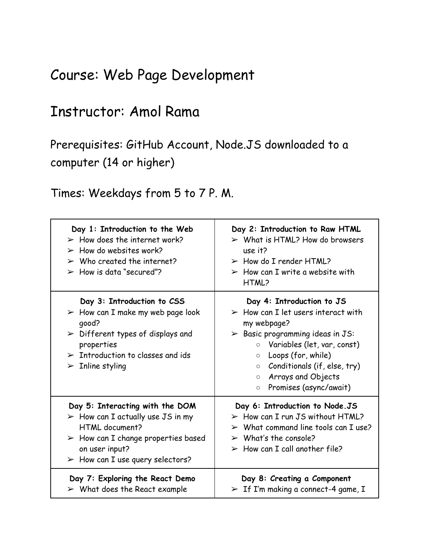## Course: Web Page Development

## Instructor: Amol Rama

Prerequisites: GitHub Account, Node.JS downloaded to a computer (14 or higher)

Times: Weekdays from 5 to 7 P. M.

| Day 1: Introduction to the Web<br>$\triangleright$ How does the internet work?<br>$\triangleright$ How do websites work?<br>$\triangleright$ Who created the internet?<br>$\triangleright$ How is data "secured"?                                | Day 2: Introduction to Raw HTML<br>$\triangleright$ What is HTML? How do browsers<br>use it?<br>$\triangleright$ How do I render HTML?<br>$\triangleright$ How can I write a website with<br>HTML?                                                                                                                                   |
|--------------------------------------------------------------------------------------------------------------------------------------------------------------------------------------------------------------------------------------------------|--------------------------------------------------------------------------------------------------------------------------------------------------------------------------------------------------------------------------------------------------------------------------------------------------------------------------------------|
| Day 3: Introduction to CSS<br>$\triangleright$ How can I make my web page look<br>qood?<br>$\triangleright$ Different types of displays and<br>properties<br>$\triangleright$ Introduction to classes and ids<br>$\triangleright$ Inline styling | Day 4: Introduction to JS<br>$\triangleright$ How can I let users interact with<br>my webpage?<br>$\triangleright$ Basic programming ideas in JS:<br>O Variables (let, var, const)<br>Loops (for, while)<br>$\circ$<br>Conditionals (if, else, try)<br>$\circ$<br>Arrays and Objects<br>$\circ$<br>Promises (async/await)<br>$\circ$ |
| Day 5: Interacting with the DOM<br>$\triangleright$ How can I actually use JS in my<br>HTML document?<br>$\triangleright$ How can I change properties based<br>on user input?<br>$\triangleright$ How can I use query selectors?                 | Day 6: Introduction to Node.JS<br>$\triangleright$ How can I run JS without HTML?<br>$>$ What command line tools can I use?<br>$\triangleright$ What's the console?<br>$\triangleright$ How can I call another file?                                                                                                                 |
| Day 7: Exploring the React Demo<br>$\triangleright$ What does the React example                                                                                                                                                                  | Day 8: Creating a Component<br>$>$ If I'm making a connect-4 game, I                                                                                                                                                                                                                                                                 |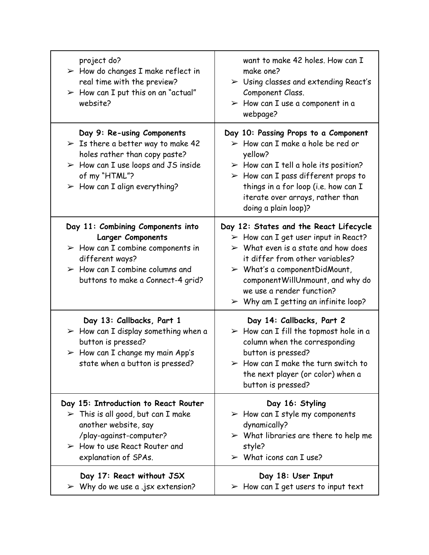| project do?<br>$\triangleright$ How do changes I make reflect in<br>real time with the preview?<br>$\triangleright$ How can I put this on an "actual"<br>website?                                                                       | want to make 42 holes. How can I<br>make one?<br>$\triangleright$ Using classes and extending React's<br>Component Class.<br>$\triangleright$ How can I use a component in a<br>webpage?                                                                                                                                                                         |
|-----------------------------------------------------------------------------------------------------------------------------------------------------------------------------------------------------------------------------------------|------------------------------------------------------------------------------------------------------------------------------------------------------------------------------------------------------------------------------------------------------------------------------------------------------------------------------------------------------------------|
| Day 9: Re-using Components<br>$\triangleright$ Is there a better way to make 42<br>holes rather than copy paste?<br>$\triangleright$ How can I use loops and JS inside<br>of my "HTML"?<br>$\triangleright$ How can I align everything? | Day 10: Passing Props to a Component<br>$\triangleright$ How can I make a hole be red or<br>yellow?<br>$\triangleright$ How can I tell a hole its position?<br>$\triangleright$ How can I pass different props to<br>things in a for loop (i.e. how can I<br>iterate over arrays, rather than<br>doing a plain loop)?                                            |
| Day 11: Combining Components into<br><b>Larger Components</b><br>$\triangleright$ How can I combine components in<br>different ways?<br>$\triangleright$ How can I combine columns and<br>buttons to make a Connect-4 grid?             | Day 12: States and the React Lifecycle<br>$\triangleright$ How can I get user input in React?<br>$\triangleright$ What even is a state and how does<br>it differ from other variables?<br>$\triangleright$ What's a component Did Mount,<br>componentWillUnmount, and why do<br>we use a render function?<br>$\triangleright$ Why am I getting an infinite loop? |
| Day 13: Callbacks, Part 1<br>$\triangleright$ How can I display something when a<br>button is pressed?<br>$\triangleright$ How can I change my main App's<br>state when a button is pressed?                                            | Day 14: Callbacks, Part 2<br>$\triangleright$ How can I fill the topmost hole in a<br>column when the corresponding<br>button is pressed?<br>$\triangleright$ How can I make the turn switch to<br>the next player (or color) when a<br>button is pressed?                                                                                                       |
| Day 15: Introduction to React Router<br>$\triangleright$ This is all good, but can I make<br>another website, say<br>/play-against-computer?<br>$\triangleright$ How to use React Router and<br>explanation of SPAs.                    | Day 16: Styling<br>$\triangleright$ How can I style my components<br>dynamically?<br>$\triangleright$ What libraries are there to help me<br>style?<br>$\triangleright$ What icons can I use?                                                                                                                                                                    |
| Day 17: React without JSX<br>$\triangleright$ Why do we use a .jsx extension?                                                                                                                                                           | Day 18: User Input<br>$\triangleright$ How can I get users to input text                                                                                                                                                                                                                                                                                         |